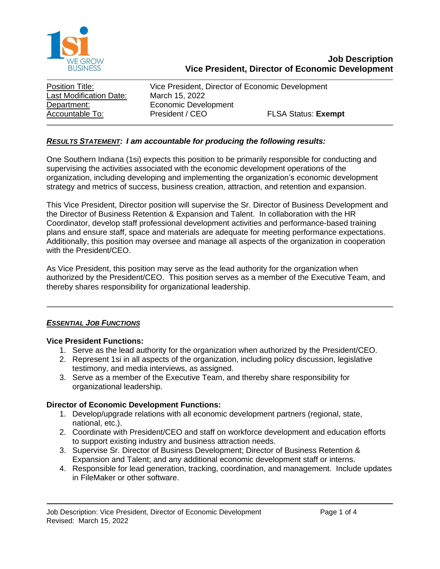

| Position Title:                | Vice President, Director of Economic Development |                            |
|--------------------------------|--------------------------------------------------|----------------------------|
| <b>Last Modification Date:</b> | March 15, 2022                                   |                            |
| Department:                    | Economic Development                             |                            |
| Accountable To:                | President / CEO                                  | <b>FLSA Status: Exempt</b> |

### *RESULTS STATEMENT: I am accountable for producing the following results:*

One Southern Indiana (1si) expects this position to be primarily responsible for conducting and supervising the activities associated with the economic development operations of the organization, including developing and implementing the organization's economic development strategy and metrics of success, business creation, attraction, and retention and expansion.

This Vice President, Director position will supervise the Sr. Director of Business Development and the Director of Business Retention & Expansion and Talent. In collaboration with the HR Coordinator, develop staff professional development activities and performance-based training plans and ensure staff, space and materials are adequate for meeting performance expectations. Additionally, this position may oversee and manage all aspects of the organization in cooperation with the President/CEO.

As Vice President, this position may serve as the lead authority for the organization when authorized by the President/CEO. This position serves as a member of the Executive Team, and thereby shares responsibility for organizational leadership.

#### *ESSENTIAL JOB FUNCTIONS*

#### **Vice President Functions:**

- 1. Serve as the lead authority for the organization when authorized by the President/CEO.
- 2. Represent 1si in all aspects of the organization, including policy discussion, legislative testimony, and media interviews, as assigned.
- 3. Serve as a member of the Executive Team, and thereby share responsibility for organizational leadership.

#### **Director of Economic Development Functions:**

- 1. Develop/upgrade relations with all economic development partners (regional, state, national, etc.).
- 2. Coordinate with President/CEO and staff on workforce development and education efforts to support existing industry and business attraction needs.
- 3. Supervise Sr. Director of Business Development; Director of Business Retention & Expansion and Talent; and any additional economic development staff or interns.
- 4. Responsible for lead generation, tracking, coordination, and management. Include updates in FileMaker or other software.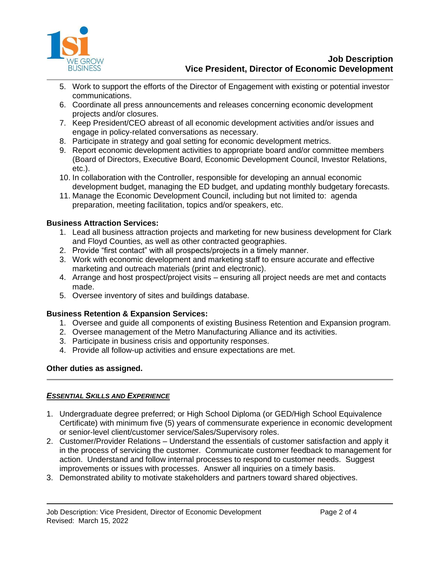

- 5. Work to support the efforts of the Director of Engagement with existing or potential investor communications.
- 6. Coordinate all press announcements and releases concerning economic development projects and/or closures.
- 7. Keep President/CEO abreast of all economic development activities and/or issues and engage in policy-related conversations as necessary.
- 8. Participate in strategy and goal setting for economic development metrics.
- 9. Report economic development activities to appropriate board and/or committee members (Board of Directors, Executive Board, Economic Development Council, Investor Relations, etc.).
- 10. In collaboration with the Controller, responsible for developing an annual economic development budget, managing the ED budget, and updating monthly budgetary forecasts.
- 11. Manage the Economic Development Council, including but not limited to: agenda preparation, meeting facilitation, topics and/or speakers, etc.

## **Business Attraction Services:**

- 1. Lead all business attraction projects and marketing for new business development for Clark and Floyd Counties, as well as other contracted geographies.
- 2. Provide "first contact" with all prospects/projects in a timely manner.
- 3. Work with economic development and marketing staff to ensure accurate and effective marketing and outreach materials (print and electronic).
- 4. Arrange and host prospect/project visits ensuring all project needs are met and contacts made.
- 5. Oversee inventory of sites and buildings database.

# **Business Retention & Expansion Services:**

- 1. Oversee and guide all components of existing Business Retention and Expansion program.
- 2. Oversee management of the Metro Manufacturing Alliance and its activities.
- 3. Participate in business crisis and opportunity responses.
- 4. Provide all follow-up activities and ensure expectations are met.

### **Other duties as assigned.**

### *ESSENTIAL SKILLS AND EXPERIENCE*

- 1. Undergraduate degree preferred; or High School Diploma (or GED/High School Equivalence Certificate) with minimum five (5) years of commensurate experience in economic development or senior-level client/customer service/Sales/Supervisory roles.
- 2. Customer/Provider Relations Understand the essentials of customer satisfaction and apply it in the process of servicing the customer. Communicate customer feedback to management for action. Understand and follow internal processes to respond to customer needs. Suggest improvements or issues with processes. Answer all inquiries on a timely basis.
- 3. Demonstrated ability to motivate stakeholders and partners toward shared objectives.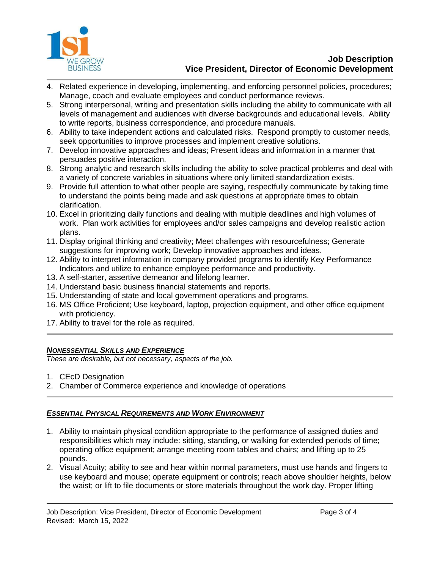

- 4. Related experience in developing, implementing, and enforcing personnel policies, procedures; Manage, coach and evaluate employees and conduct performance reviews.
- 5. Strong interpersonal, writing and presentation skills including the ability to communicate with all levels of management and audiences with diverse backgrounds and educational levels. Ability to write reports, business correspondence, and procedure manuals.
- 6. Ability to take independent actions and calculated risks. Respond promptly to customer needs, seek opportunities to improve processes and implement creative solutions.
- 7. Develop innovative approaches and ideas; Present ideas and information in a manner that persuades positive interaction.
- 8. Strong analytic and research skills including the ability to solve practical problems and deal with a variety of concrete variables in situations where only limited standardization exists.
- 9. Provide full attention to what other people are saying, respectfully communicate by taking time to understand the points being made and ask questions at appropriate times to obtain clarification.
- 10. Excel in prioritizing daily functions and dealing with multiple deadlines and high volumes of work. Plan work activities for employees and/or sales campaigns and develop realistic action plans.
- 11. Display original thinking and creativity; Meet challenges with resourcefulness; Generate suggestions for improving work; Develop innovative approaches and ideas.
- 12. Ability to interpret information in company provided programs to identify Key Performance Indicators and utilize to enhance employee performance and productivity.
- 13. A self-starter, assertive demeanor and lifelong learner.
- 14. Understand basic business financial statements and reports.
- 15. Understanding of state and local government operations and programs.
- 16. MS Office Proficient; Use keyboard, laptop, projection equipment, and other office equipment with proficiency.
- 17. Ability to travel for the role as required.

### *NONESSENTIAL SKILLS AND EXPERIENCE*

*These are desirable, but not necessary, aspects of the job.*

- 1. CEcD Designation
- 2. Chamber of Commerce experience and knowledge of operations

# *ESSENTIAL PHYSICAL REQUIREMENTS AND WORK ENVIRONMENT*

- 1. Ability to maintain physical condition appropriate to the performance of assigned duties and responsibilities which may include: sitting, standing, or walking for extended periods of time; operating office equipment; arrange meeting room tables and chairs; and lifting up to 25 pounds.
- 2. Visual Acuity; ability to see and hear within normal parameters, must use hands and fingers to use keyboard and mouse; operate equipment or controls; reach above shoulder heights, below the waist; or lift to file documents or store materials throughout the work day. Proper lifting